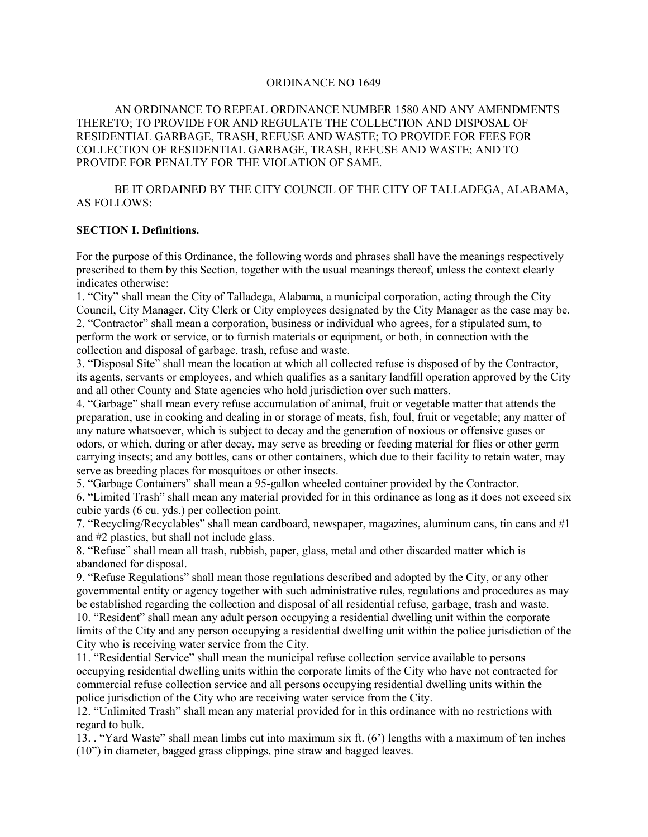# ORDINANCE NO 1649

AN ORDINANCE TO REPEAL ORDINANCE NUMBER 1580 AND ANY AMENDMENTS THERETO; TO PROVIDE FOR AND REGULATE THE COLLECTION AND DISPOSAL OF RESIDENTIAL GARBAGE, TRASH, REFUSE AND WASTE; TO PROVIDE FOR FEES FOR COLLECTION OF RESIDENTIAL GARBAGE, TRASH, REFUSE AND WASTE; AND TO PROVIDE FOR PENALTY FOR THE VIOLATION OF SAME.

BE IT ORDAINED BY THE CITY COUNCIL OF THE CITY OF TALLADEGA, ALABAMA, AS FOLLOWS:

#### **SECTION I. Definitions.**

For the purpose of this Ordinance, the following words and phrases shall have the meanings respectively prescribed to them by this Section, together with the usual meanings thereof, unless the context clearly indicates otherwise:

1. "City" shall mean the City of Talladega, Alabama, a municipal corporation, acting through the City Council, City Manager, City Clerk or City employees designated by the City Manager as the case may be. 2. "Contractor" shall mean a corporation, business or individual who agrees, for a stipulated sum, to perform the work or service, or to furnish materials or equipment, or both, in connection with the collection and disposal of garbage, trash, refuse and waste.

3. "Disposal Site" shall mean the location at which all collected refuse is disposed of by the Contractor, its agents, servants or employees, and which qualifies as a sanitary landfill operation approved by the City and all other County and State agencies who hold jurisdiction over such matters.

4. "Garbage" shall mean every refuse accumulation of animal, fruit or vegetable matter that attends the preparation, use in cooking and dealing in or storage of meats, fish, foul, fruit or vegetable; any matter of any nature whatsoever, which is subject to decay and the generation of noxious or offensive gases or odors, or which, during or after decay, may serve as breeding or feeding material for flies or other germ carrying insects; and any bottles, cans or other containers, which due to their facility to retain water, may serve as breeding places for mosquitoes or other insects.

5. "Garbage Containers" shall mean a 95-gallon wheeled container provided by the Contractor.

6. "Limited Trash" shall mean any material provided for in this ordinance as long as it does not exceed six cubic yards (6 cu. yds.) per collection point.

7. "Recycling/Recyclables" shall mean cardboard, newspaper, magazines, aluminum cans, tin cans and #1 and #2 plastics, but shall not include glass.

8. "Refuse" shall mean all trash, rubbish, paper, glass, metal and other discarded matter which is abandoned for disposal.

9. "Refuse Regulations" shall mean those regulations described and adopted by the City, or any other governmental entity or agency together with such administrative rules, regulations and procedures as may be established regarding the collection and disposal of all residential refuse, garbage, trash and waste. 10. "Resident" shall mean any adult person occupying a residential dwelling unit within the corporate

limits of the City and any person occupying a residential dwelling unit within the police jurisdiction of the City who is receiving water service from the City.

11. "Residential Service" shall mean the municipal refuse collection service available to persons occupying residential dwelling units within the corporate limits of the City who have not contracted for commercial refuse collection service and all persons occupying residential dwelling units within the police jurisdiction of the City who are receiving water service from the City.

12. "Unlimited Trash" shall mean any material provided for in this ordinance with no restrictions with regard to bulk.

13. . "Yard Waste" shall mean limbs cut into maximum six ft. (6') lengths with a maximum of ten inches (10") in diameter, bagged grass clippings, pine straw and bagged leaves.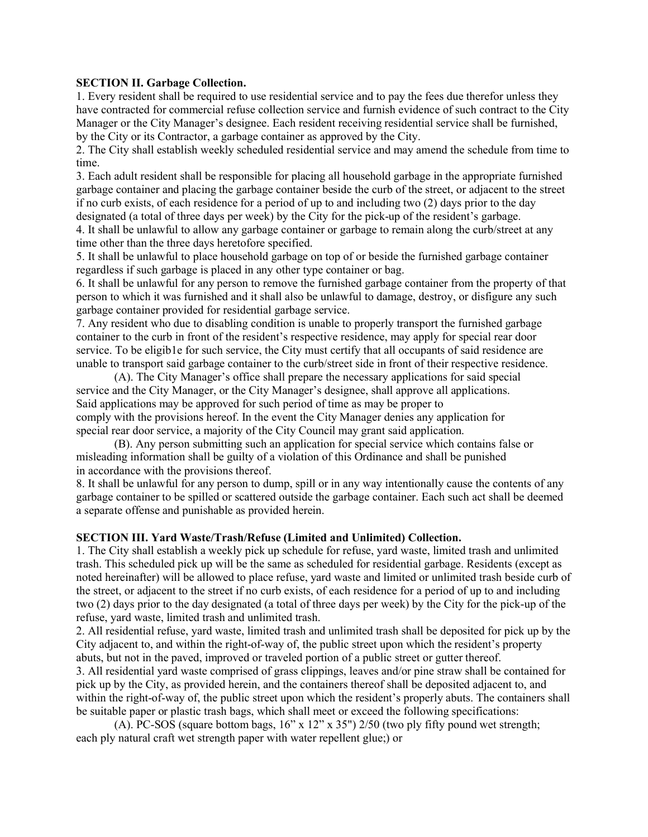### **SECTION II. Garbage Collection.**

1. Every resident shall be required to use residential service and to pay the fees due therefor unless they have contracted for commercial refuse collection service and furnish evidence of such contract to the City Manager or the City Manager's designee. Each resident receiving residential service shall be furnished, by the City or its Contractor, a garbage container as approved by the City.

2. The City shall establish weekly scheduled residential service and may amend the schedule from time to time.

3. Each adult resident shall be responsible for placing all household garbage in the appropriate furnished garbage container and placing the garbage container beside the curb of the street, or adjacent to the street if no curb exists, of each residence for a period of up to and including two (2) days prior to the day designated (a total of three days per week) by the City for the pick-up of the resident's garbage.

4. It shall be unlawful to allow any garbage container or garbage to remain along the curb/street at any time other than the three days heretofore specified.

5. It shall be unlawful to place household garbage on top of or beside the furnished garbage container regardless if such garbage is placed in any other type container or bag.

6. It shall be unlawful for any person to remove the furnished garbage container from the property of that person to which it was furnished and it shall also be unlawful to damage, destroy, or disfigure any such garbage container provided for residential garbage service.

7. Any resident who due to disabling condition is unable to properly transport the furnished garbage container to the curb in front of the resident's respective residence, may apply for special rear door service. To be eligib1e for such service, the City must certify that all occupants of said residence are unable to transport said garbage container to the curb/street side in front of their respective residence.

(A). The City Manager's office shall prepare the necessary applications for said special service and the City Manager, or the City Manager's designee, shall approve all applications. Said applications may be approved for such period of time as may be proper to comply with the provisions hereof. In the event the City Manager denies any application for special rear door service, a majority of the City Council may grant said application.

(B). Any person submitting such an application for special service which contains false or misleading information shall be guilty of a violation of this Ordinance and shall be punished in accordance with the provisions thereof.

8. It shall be unlawful for any person to dump, spill or in any way intentionally cause the contents of any garbage container to be spilled or scattered outside the garbage container. Each such act shall be deemed a separate offense and punishable as provided herein.

#### **SECTION III. Yard Waste/Trash/Refuse (Limited and Unlimited) Collection.**

1. The City shall establish a weekly pick up schedule for refuse, yard waste, limited trash and unlimited trash. This scheduled pick up will be the same as scheduled for residential garbage. Residents (except as noted hereinafter) will be allowed to place refuse, yard waste and limited or unlimited trash beside curb of the street, or adjacent to the street if no curb exists, of each residence for a period of up to and including two (2) days prior to the day designated (a total of three days per week) by the City for the pick-up of the refuse, yard waste, limited trash and unlimited trash.

2. All residential refuse, yard waste, limited trash and unlimited trash shall be deposited for pick up by the City adjacent to, and within the right-of-way of, the public street upon which the resident's property abuts, but not in the paved, improved or traveled portion of a public street or gutter thereof.

3. All residential yard waste comprised of grass clippings, leaves and/or pine straw shall be contained for pick up by the City, as provided herein, and the containers thereof shall be deposited adjacent to, and within the right-of-way of, the public street upon which the resident's properly abuts. The containers shall be suitable paper or plastic trash bags, which shall meet or exceed the following specifications:

(A). PC-SOS (square bottom bags, 16" x 12" x 35") 2/50 (two ply fifty pound wet strength; each ply natural craft wet strength paper with water repellent glue;) or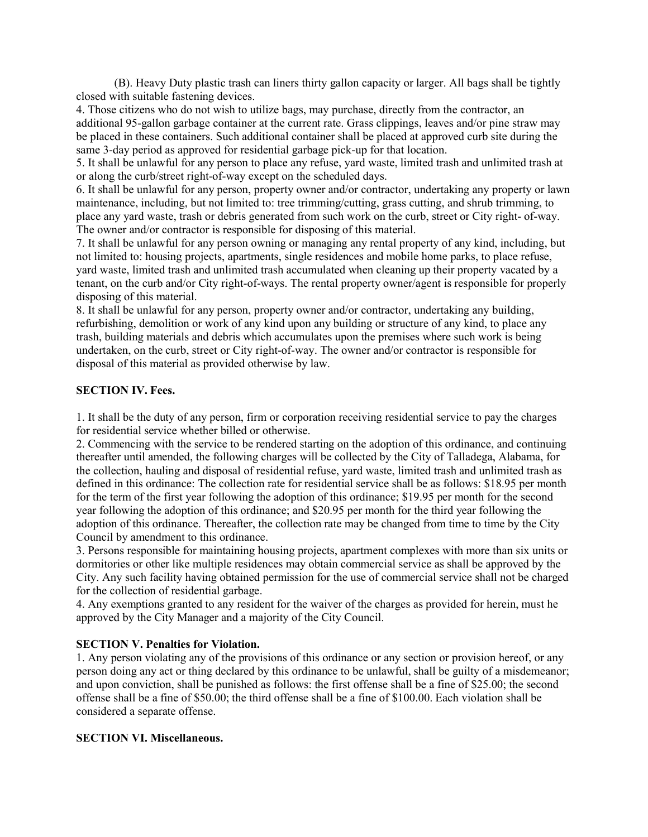(B). Heavy Duty plastic trash can liners thirty gallon capacity or larger. All bags shall be tightly closed with suitable fastening devices.

4. Those citizens who do not wish to utilize bags, may purchase, directly from the contractor, an additional 95-gallon garbage container at the current rate. Grass clippings, leaves and/or pine straw may be placed in these containers. Such additional container shall be placed at approved curb site during the same 3-day period as approved for residential garbage pick-up for that location.

5. It shall be unlawful for any person to place any refuse, yard waste, limited trash and unlimited trash at or along the curb/street right-of-way except on the scheduled days.

6. It shall be unlawful for any person, property owner and/or contractor, undertaking any property or lawn maintenance, including, but not limited to: tree trimming/cutting, grass cutting, and shrub trimming, to place any yard waste, trash or debris generated from such work on the curb, street or City right- of-way. The owner and/or contractor is responsible for disposing of this material.

7. It shall be unlawful for any person owning or managing any rental property of any kind, including, but not limited to: housing projects, apartments, single residences and mobile home parks, to place refuse, yard waste, limited trash and unlimited trash accumulated when cleaning up their property vacated by a tenant, on the curb and/or City right-of-ways. The rental property owner/agent is responsible for properly disposing of this material.

8. It shall be unlawful for any person, property owner and/or contractor, undertaking any building, refurbishing, demolition or work of any kind upon any building or structure of any kind, to place any trash, building materials and debris which accumulates upon the premises where such work is being undertaken, on the curb, street or City right-of-way. The owner and/or contractor is responsible for disposal of this material as provided otherwise by law.

### **SECTION IV. Fees.**

1. It shall be the duty of any person, firm or corporation receiving residential service to pay the charges for residential service whether billed or otherwise.

2. Commencing with the service to be rendered starting on the adoption of this ordinance, and continuing thereafter until amended, the following charges will be collected by the City of Talladega, Alabama, for the collection, hauling and disposal of residential refuse, yard waste, limited trash and unlimited trash as defined in this ordinance: The collection rate for residential service shall be as follows: \$18.95 per month for the term of the first year following the adoption of this ordinance; \$19.95 per month for the second year following the adoption of this ordinance; and \$20.95 per month for the third year following the adoption of this ordinance. Thereafter, the collection rate may be changed from time to time by the City Council by amendment to this ordinance.

3. Persons responsible for maintaining housing projects, apartment complexes with more than six units or dormitories or other like multiple residences may obtain commercial service as shall be approved by the City. Any such facility having obtained permission for the use of commercial service shall not be charged for the collection of residential garbage.

4. Any exemptions granted to any resident for the waiver of the charges as provided for herein, must he approved by the City Manager and a majority of the City Council.

### **SECTION V. Penalties for Violation.**

1. Any person violating any of the provisions of this ordinance or any section or provision hereof, or any person doing any act or thing declared by this ordinance to be unlawful, shall be guilty of a misdemeanor; and upon conviction, shall be punished as follows: the first offense shall be a fine of \$25.00; the second offense shall be a fine of \$50.00; the third offense shall be a fine of \$100.00. Each violation shall be considered a separate offense.

### **SECTION VI. Miscellaneous.**